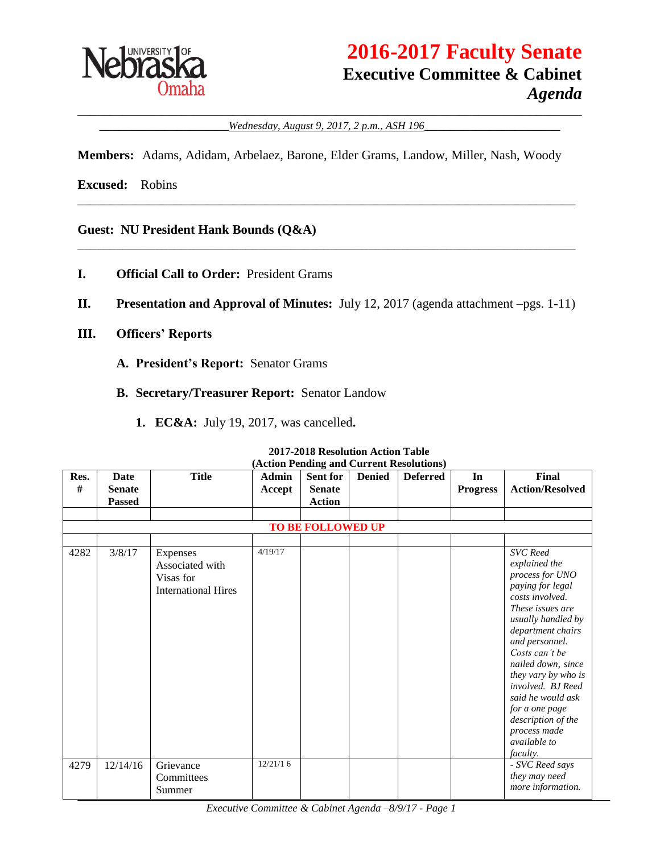

# **2016-2017 Faculty Senate Executive Committee & Cabinet** *Agenda*

\_\_\_\_\_\_\_\_\_\_\_\_\_\_\_\_\_\_\_\_\_\_\_\_\_\_\_\_\_\_\_\_\_\_\_\_\_\_\_\_\_\_\_\_\_\_\_\_\_\_\_\_\_\_\_\_\_\_\_\_\_\_\_\_\_\_\_\_\_\_\_\_\_\_\_\_\_\_ \_\_\_\_\_\_\_\_\_\_\_\_\_\_\_\_\_\_\_\_*Wednesday, August 9, 2017, 2 p.m., ASH 196*\_\_\_\_\_\_\_\_\_\_\_\_\_\_\_\_\_\_\_\_\_

**Members:** Adams, Adidam, Arbelaez, Barone, Elder Grams, Landow, Miller, Nash, Woody

\_\_\_\_\_\_\_\_\_\_\_\_\_\_\_\_\_\_\_\_\_\_\_\_\_\_\_\_\_\_\_\_\_\_\_\_\_\_\_\_\_\_\_\_\_\_\_\_\_\_\_\_\_\_\_\_\_\_\_\_\_\_\_\_\_\_\_\_\_\_\_\_\_\_\_\_\_

\_\_\_\_\_\_\_\_\_\_\_\_\_\_\_\_\_\_\_\_\_\_\_\_\_\_\_\_\_\_\_\_\_\_\_\_\_\_\_\_\_\_\_\_\_\_\_\_\_\_\_\_\_\_\_\_\_\_\_\_\_\_\_\_\_\_\_\_\_\_\_\_\_\_\_\_\_

**Excused:** Robins

**Guest: NU President Hank Bounds (Q&A)**

- **I. Official Call to Order:** President Grams
- **II. Presentation and Approval of Minutes:** July 12, 2017 (agenda attachment –pgs. 1-11)
- **III. Officers' Reports**
	- **A. President's Report:** Senator Grams
	- **B. Secretary/Treasurer Report:** Senator Landow
		- **1. EC&A:** July 19, 2017, was cancelled**.**

|           | (Action Pending and Current Resolutions) |                                                                        |                        |                                                   |               |                 |                       |                                                                                                                                                                                                                                                                                                                                                                                        |
|-----------|------------------------------------------|------------------------------------------------------------------------|------------------------|---------------------------------------------------|---------------|-----------------|-----------------------|----------------------------------------------------------------------------------------------------------------------------------------------------------------------------------------------------------------------------------------------------------------------------------------------------------------------------------------------------------------------------------------|
| Res.<br># | Date<br><b>Senate</b><br><b>Passed</b>   | <b>Title</b>                                                           | <b>Admin</b><br>Accept | <b>Sent for</b><br><b>Senate</b><br><b>Action</b> | <b>Denied</b> | <b>Deferred</b> | In<br><b>Progress</b> | Final<br><b>Action/Resolved</b>                                                                                                                                                                                                                                                                                                                                                        |
|           |                                          |                                                                        |                        |                                                   |               |                 |                       |                                                                                                                                                                                                                                                                                                                                                                                        |
|           |                                          |                                                                        |                        | <b>TO BE FOLLOWED UP</b>                          |               |                 |                       |                                                                                                                                                                                                                                                                                                                                                                                        |
|           |                                          |                                                                        |                        |                                                   |               |                 |                       |                                                                                                                                                                                                                                                                                                                                                                                        |
| 4282      | 3/8/17                                   | Expenses<br>Associated with<br>Visas for<br><b>International Hires</b> | 4/19/17                |                                                   |               |                 |                       | <b>SVC</b> Reed<br>explained the<br>process for UNO<br>paying for legal<br>costs involved.<br>These issues are<br>usually handled by<br>department chairs<br>and personnel.<br>Costs can't be<br>nailed down, since<br>they vary by who is<br>involved. BJ Reed<br>said he would ask<br>for a one page<br>description of the<br>process made<br><i>available to</i><br><i>faculty.</i> |
| 4279      | 12/14/16                                 | Grievance<br>Committees<br>Summer                                      | 12/21/16               |                                                   |               |                 |                       | - SVC Reed says<br>they may need<br>more information.                                                                                                                                                                                                                                                                                                                                  |

#### **2017-2018 Resolution Action Table (Action Pending and Current Resolutions)**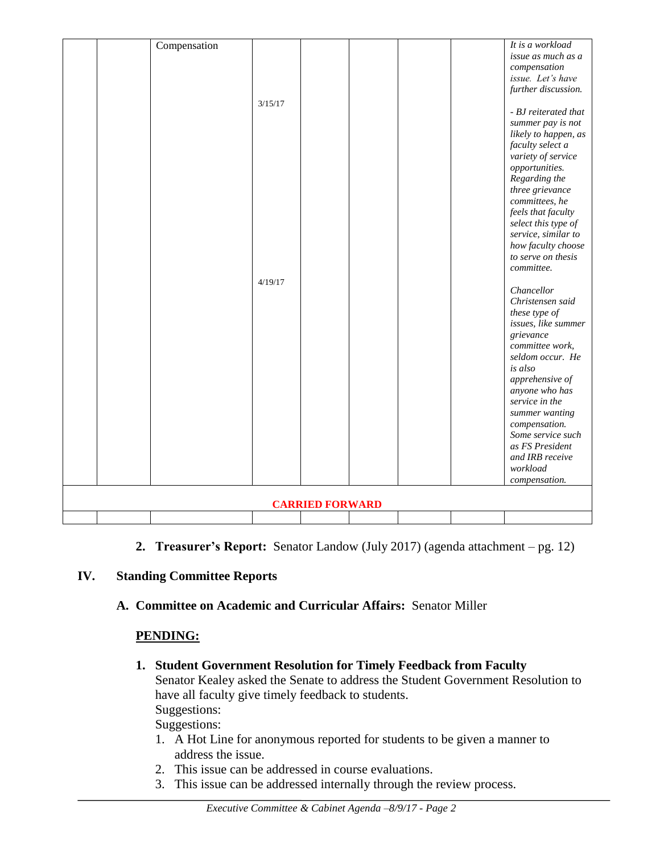|                        |  | Compensation |         |  |  |  | It is a workload                 |
|------------------------|--|--------------|---------|--|--|--|----------------------------------|
|                        |  |              |         |  |  |  | issue as much as a               |
|                        |  |              |         |  |  |  | compensation                     |
|                        |  |              |         |  |  |  | issue. Let's have                |
|                        |  |              |         |  |  |  | further discussion.              |
|                        |  |              | 3/15/17 |  |  |  |                                  |
|                        |  |              |         |  |  |  | - BJ reiterated that             |
|                        |  |              |         |  |  |  | summer pay is not                |
|                        |  |              |         |  |  |  | likely to happen, as             |
|                        |  |              |         |  |  |  | faculty select a                 |
|                        |  |              |         |  |  |  | variety of service               |
|                        |  |              |         |  |  |  | opportunities.                   |
|                        |  |              |         |  |  |  | Regarding the                    |
|                        |  |              |         |  |  |  | three grievance                  |
|                        |  |              |         |  |  |  | committees, he                   |
|                        |  |              |         |  |  |  | feels that faculty               |
|                        |  |              |         |  |  |  | select this type of              |
|                        |  |              |         |  |  |  | service, similar to              |
|                        |  |              |         |  |  |  | how faculty choose               |
|                        |  |              |         |  |  |  | to serve on thesis               |
|                        |  |              |         |  |  |  | committee.                       |
|                        |  |              | 4/19/17 |  |  |  |                                  |
|                        |  |              |         |  |  |  | Chancellor                       |
|                        |  |              |         |  |  |  | Christensen said                 |
|                        |  |              |         |  |  |  | these type of                    |
|                        |  |              |         |  |  |  | issues, like summer              |
|                        |  |              |         |  |  |  | grievance                        |
|                        |  |              |         |  |  |  | committee work,                  |
|                        |  |              |         |  |  |  | seldom occur. He                 |
|                        |  |              |         |  |  |  | is also                          |
|                        |  |              |         |  |  |  | apprehensive of                  |
|                        |  |              |         |  |  |  | anyone who has<br>service in the |
|                        |  |              |         |  |  |  |                                  |
|                        |  |              |         |  |  |  | summer wanting<br>compensation.  |
|                        |  |              |         |  |  |  | Some service such                |
|                        |  |              |         |  |  |  | as FS President                  |
|                        |  |              |         |  |  |  | and IRB receive                  |
|                        |  |              |         |  |  |  | workload                         |
|                        |  |              |         |  |  |  | compensation.                    |
|                        |  |              |         |  |  |  |                                  |
| <b>CARRIED FORWARD</b> |  |              |         |  |  |  |                                  |
|                        |  |              |         |  |  |  |                                  |
|                        |  |              |         |  |  |  |                                  |

**2. Treasurer's Report:** Senator Landow (July 2017) (agenda attachment – pg. 12)

### **IV. Standing Committee Reports**

**A. Committee on Academic and Curricular Affairs:** Senator Miller

### **PENDING:**

- **1. Student Government Resolution for Timely Feedback from Faculty** Senator Kealey asked the Senate to address the Student Government Resolution to have all faculty give timely feedback to students. Suggestions: Suggestions:
	- 1. A Hot Line for anonymous reported for students to be given a manner to address the issue.
	- 2. This issue can be addressed in course evaluations.
	- 3. This issue can be addressed internally through the review process.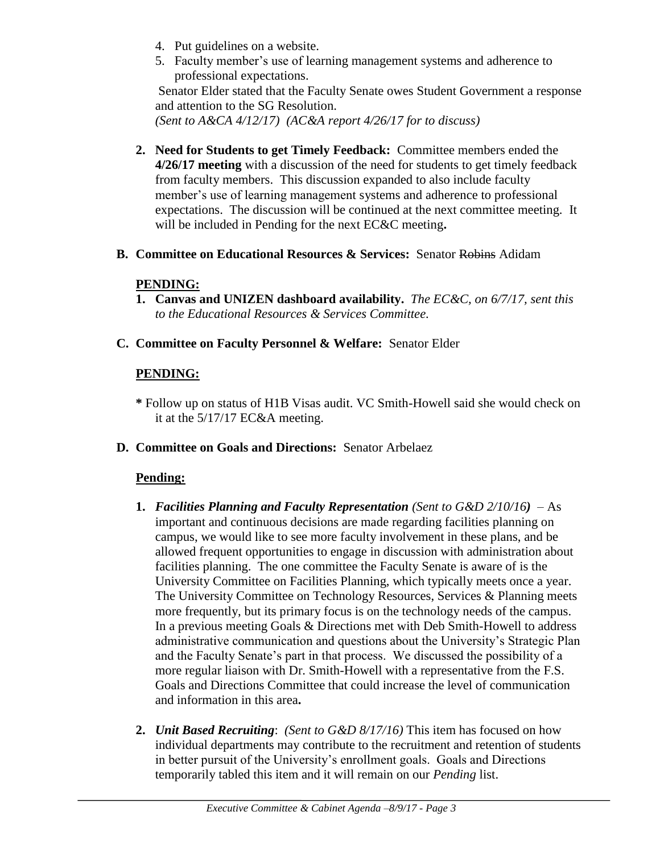- 4. Put guidelines on a website.
- 5. Faculty member's use of learning management systems and adherence to professional expectations.

Senator Elder stated that the Faculty Senate owes Student Government a response and attention to the SG Resolution.

*(Sent to A&CA 4/12/17) (AC&A report 4/26/17 for to discuss)*

- **2. Need for Students to get Timely Feedback:** Committee members ended the **4/26/17 meeting** with a discussion of the need for students to get timely feedback from faculty members. This discussion expanded to also include faculty member's use of learning management systems and adherence to professional expectations. The discussion will be continued at the next committee meeting. It will be included in Pending for the next EC&C meeting**.**
- **B. Committee on Educational Resources & Services:** Senator Robins Adidam

## **PENDING:**

- **1. Canvas and UNIZEN dashboard availability.** *The EC&C, on 6/7/17, sent this to the Educational Resources & Services Committee.*
- **C. Committee on Faculty Personnel & Welfare:** Senator Elder

## **PENDING:**

- **\*** Follow up on status of H1B Visas audit. VC Smith-Howell said she would check on it at the 5/17/17 EC&A meeting.
- **D. Committee on Goals and Directions:** Senator Arbelaez

### **Pending:**

- **1.** *Facilities Planning and Faculty Representation (Sent to G&D 2/10/16)* As important and continuous decisions are made regarding facilities planning on campus, we would like to see more faculty involvement in these plans, and be allowed frequent opportunities to engage in discussion with administration about facilities planning. The one committee the Faculty Senate is aware of is the University Committee on Facilities Planning, which typically meets once a year. The University Committee on Technology Resources, Services & Planning meets more frequently, but its primary focus is on the technology needs of the campus. In a previous meeting Goals & Directions met with Deb Smith-Howell to address administrative communication and questions about the University's Strategic Plan and the Faculty Senate's part in that process. We discussed the possibility of a more regular liaison with Dr. Smith-Howell with a representative from the F.S. Goals and Directions Committee that could increase the level of communication and information in this area**.**
- **2.** *Unit Based Recruiting*: *(Sent to G&D 8/17/16)* This item has focused on how individual departments may contribute to the recruitment and retention of students in better pursuit of the University's enrollment goals. Goals and Directions temporarily tabled this item and it will remain on our *Pending* list.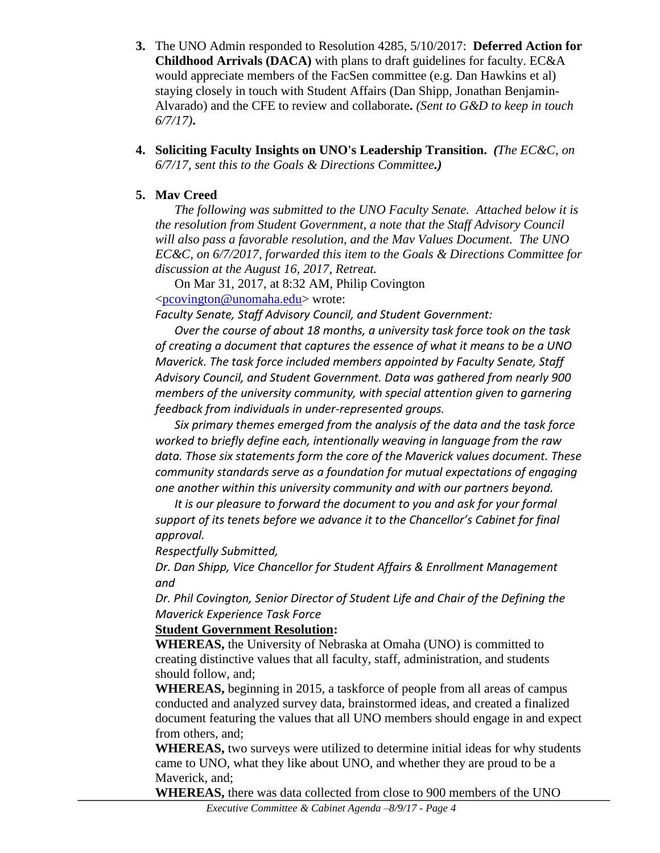- **3.** The UNO Admin responded to Resolution 4285, 5/10/2017: **Deferred Action for Childhood Arrivals (DACA)** with plans to draft guidelines for faculty. EC&A would appreciate members of the FacSen committee (e.g. Dan Hawkins et al) staying closely in touch with Student Affairs (Dan Shipp, Jonathan Benjamin-Alvarado) and the CFE to review and collaborate**.** *(Sent to G&D to keep in touch 6/7/17)***.**
- **4. Soliciting Faculty Insights on UNO's Leadership Transition.** *(The EC&C, on 6/7/17, sent this to the Goals & Directions Committee.)*

### **5. Mav Creed**

*The following was submitted to the UNO Faculty Senate. Attached below it is the resolution from Student Government, a note that the Staff Advisory Council will also pass a favorable resolution, and the Mav Values Document. The UNO EC&C, on 6/7/2017, forwarded this item to the Goals & Directions Committee for discussion at the August 16, 2017, Retreat.*

On Mar 31, 2017, at 8:32 AM, Philip Covington [<pcovington@unomaha.edu>](mailto:pcovington@unomaha.edu) wrote:

*Faculty Senate, Staff Advisory Council, and Student Government:*

*Over the course of about 18 months, a university task force took on the task of creating a document that captures the essence of what it means to be a UNO Maverick. The task force included members appointed by Faculty Senate, Staff Advisory Council, and Student Government. Data was gathered from nearly 900 members of the university community, with special attention given to garnering feedback from individuals in under-represented groups.*

*Six primary themes emerged from the analysis of the data and the task force worked to briefly define each, intentionally weaving in language from the raw data. Those six statements form the core of the Maverick values document. These community standards serve as a foundation for mutual expectations of engaging one another within this university community and with our partners beyond.*

*It is our pleasure to forward the document to you and ask for your formal support of its tenets before we advance it to the Chancellor's Cabinet for final approval.*

*Respectfully Submitted,*

*Dr. Dan Shipp, Vice Chancellor for Student Affairs & Enrollment Management and*

*Dr. Phil Covington, Senior Director of Student Life and Chair of the Defining the Maverick Experience Task Force*

### **Student Government Resolution:**

**WHEREAS,** the University of Nebraska at Omaha (UNO) is committed to creating distinctive values that all faculty, staff, administration, and students should follow, and;

**WHEREAS,** beginning in 2015, a taskforce of people from all areas of campus conducted and analyzed survey data, brainstormed ideas, and created a finalized document featuring the values that all UNO members should engage in and expect from others, and;

**WHEREAS,** two surveys were utilized to determine initial ideas for why students came to UNO, what they like about UNO, and whether they are proud to be a Maverick, and;

**WHEREAS,** there was data collected from close to 900 members of the UNO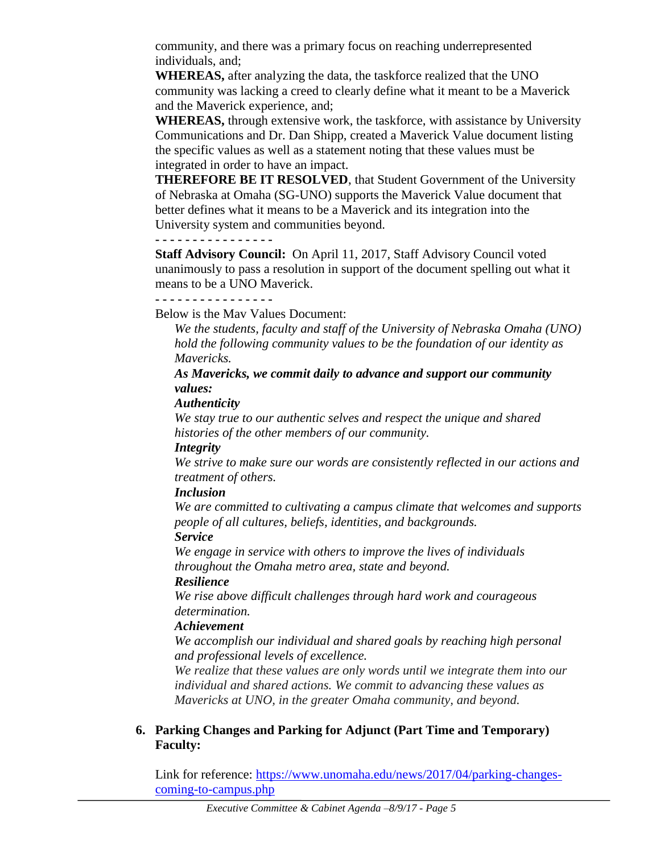community, and there was a primary focus on reaching underrepresented individuals, and;

**WHEREAS,** after analyzing the data, the taskforce realized that the UNO community was lacking a creed to clearly define what it meant to be a Maverick and the Maverick experience, and;

**WHEREAS,** through extensive work, the taskforce, with assistance by University Communications and Dr. Dan Shipp, created a Maverick Value document listing the specific values as well as a statement noting that these values must be integrated in order to have an impact.

**THEREFORE BE IT RESOLVED**, that Student Government of the University of Nebraska at Omaha (SG-UNO) supports the Maverick Value document that better defines what it means to be a Maverick and its integration into the University system and communities beyond.

**- - - - - - - - - - - - - - - -**

**Staff Advisory Council:** On April 11, 2017, Staff Advisory Council voted unanimously to pass a resolution in support of the document spelling out what it means to be a UNO Maverick.

**- - - - - - - - - - - - - - - -**

Below is the Mav Values Document:

*We the students, faculty and staff of the University of Nebraska Omaha (UNO) hold the following community values to be the foundation of our identity as Mavericks.*

*As Mavericks, we commit daily to advance and support our community values:*

*Authenticity*

*We stay true to our authentic selves and respect the unique and shared histories of the other members of our community.*

### *Integrity*

*We strive to make sure our words are consistently reflected in our actions and treatment of others.*

### *Inclusion*

*We are committed to cultivating a campus climate that welcomes and supports people of all cultures, beliefs, identities, and backgrounds.*

### *Service*

*We engage in service with others to improve the lives of individuals throughout the Omaha metro area, state and beyond.* 

### *Resilience*

*We rise above difficult challenges through hard work and courageous determination.* 

### *Achievement*

*We accomplish our individual and shared goals by reaching high personal and professional levels of excellence.*

*We realize that these values are only words until we integrate them into our individual and shared actions. We commit to advancing these values as Mavericks at UNO, in the greater Omaha community, and beyond.*

### **6. Parking Changes and Parking for Adjunct (Part Time and Temporary) Faculty:**

Link for reference: [https://www.unomaha.edu/news/2017/04/parking-changes](https://www.unomaha.edu/news/2017/04/parking-changes-coming-to-campus.php)[coming-to-campus.php](https://www.unomaha.edu/news/2017/04/parking-changes-coming-to-campus.php)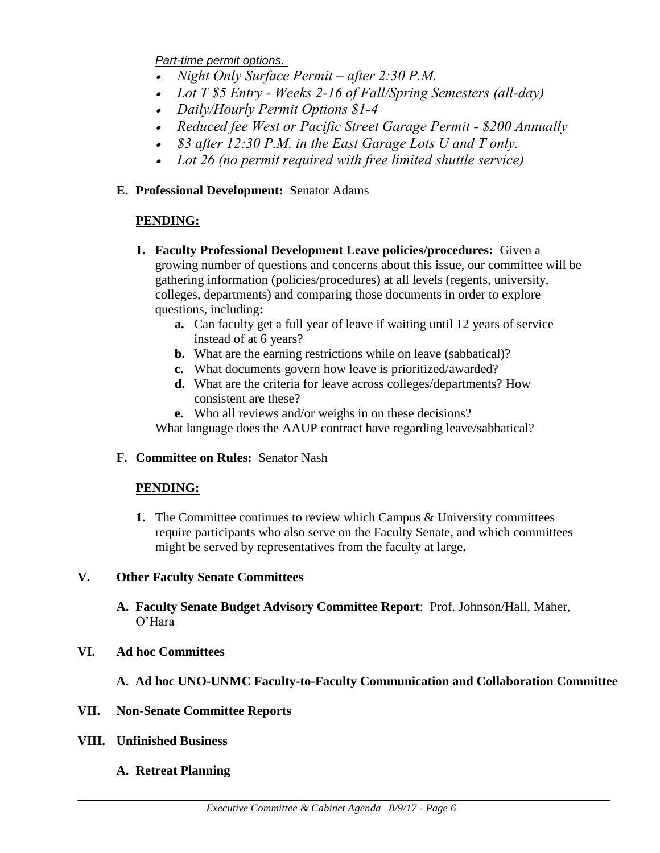*Part-time permit options.*

- *Night Only Surface Permit – after 2:30 P.M.*
- *Lot T \$5 Entry - Weeks 2-16 of Fall/Spring Semesters (all-day)*
- *Daily/Hourly Permit Options \$1-4*
- *Reduced fee West or Pacific Street Garage Permit - \$200 Annually*
- *\$3 after 12:30 P.M. in the East Garage Lots U and T only.*
- *Lot 26 (no permit required with free limited shuttle service)*

### **E. Professional Development:** Senator Adams

### **PENDING:**

- **1. Faculty Professional Development Leave policies/procedures:** Given a growing number of questions and concerns about this issue, our committee will be gathering information (policies/procedures) at all levels (regents, university, colleges, departments) and comparing those documents in order to explore questions, including**:** 
	- **a.** Can faculty get a full year of leave if waiting until 12 years of service instead of at 6 years?
	- **b.** What are the earning restrictions while on leave (sabbatical)?
	- **c.** What documents govern how leave is prioritized/awarded?
	- **d.** What are the criteria for leave across colleges/departments? How consistent are these?
	- **e.** Who all reviews and/or weighs in on these decisions?

What language does the AAUP contract have regarding leave/sabbatical?

### **F. Committee on Rules:** Senator Nash

### **PENDING:**

**1.** The Committee continues to review which Campus & University committees require participants who also serve on the Faculty Senate, and which committees might be served by representatives from the faculty at large**.** 

### **V. Other Faculty Senate Committees**

**A. Faculty Senate Budget Advisory Committee Report**: Prof. Johnson/Hall, Maher, O'Hara

### **VI. Ad hoc Committees**

**A. Ad hoc UNO-UNMC Faculty-to-Faculty Communication and Collaboration Committee**

### **VII. Non-Senate Committee Reports**

**VIII. Unfinished Business**

### **A. Retreat Planning**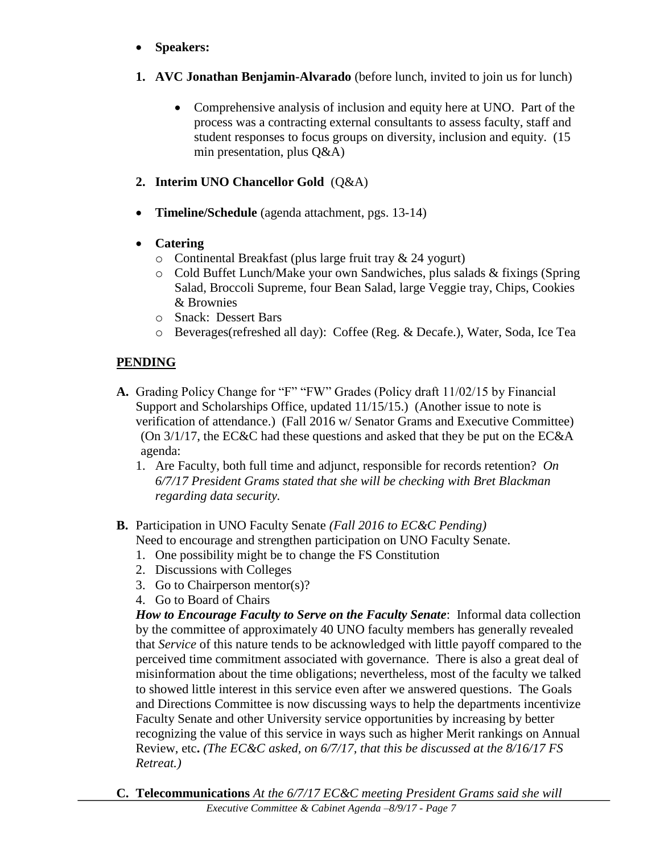- **Speakers:**
- **1. AVC Jonathan Benjamin-Alvarado** (before lunch, invited to join us for lunch)
	- Comprehensive analysis of inclusion and equity here at UNO. Part of the process was a contracting external consultants to assess faculty, staff and student responses to focus groups on diversity, inclusion and equity. (15 min presentation, plus Q&A)
- **2. Interim UNO Chancellor Gold** (Q&A)
- **Timeline/Schedule** (agenda attachment, pgs. 13-14)
- **Catering**
	- o Continental Breakfast (plus large fruit tray & 24 yogurt)
	- o Cold Buffet Lunch/Make your own Sandwiches, plus salads & fixings (Spring Salad, Broccoli Supreme, four Bean Salad, large Veggie tray, Chips, Cookies & Brownies
	- o Snack: Dessert Bars
	- o Beverages(refreshed all day): Coffee (Reg. & Decafe.), Water, Soda, Ice Tea

### **PENDING**

- **A.** Grading Policy Change for "F" "FW" Grades (Policy draft 11/02/15 by Financial Support and Scholarships Office, updated 11/15/15.) (Another issue to note is verification of attendance.) (Fall 2016 w/ Senator Grams and Executive Committee) (On 3/1/17, the EC&C had these questions and asked that they be put on the EC&A agenda:
	- 1. Are Faculty, both full time and adjunct, responsible for records retention? *On 6/7/17 President Grams stated that she will be checking with Bret Blackman regarding data security.*
- **B.** Participation in UNO Faculty Senate *(Fall 2016 to EC&C Pending)* Need to encourage and strengthen participation on UNO Faculty Senate.
	- 1. One possibility might be to change the FS Constitution
	- 2. Discussions with Colleges
	- 3. Go to Chairperson mentor(s)?
	- 4. Go to Board of Chairs

*How to Encourage Faculty to Serve on the Faculty Senate*: Informal data collection by the committee of approximately 40 UNO faculty members has generally revealed that *Service* of this nature tends to be acknowledged with little payoff compared to the perceived time commitment associated with governance. There is also a great deal of misinformation about the time obligations; nevertheless, most of the faculty we talked to showed little interest in this service even after we answered questions. The Goals and Directions Committee is now discussing ways to help the departments incentivize Faculty Senate and other University service opportunities by increasing by better recognizing the value of this service in ways such as higher Merit rankings on Annual Review, etc**.** *(The EC&C asked, on 6/7/17, that this be discussed at the 8/16/17 FS Retreat.)*

**C. Telecommunications** *At the 6/7/17 EC&C meeting President Grams said she will*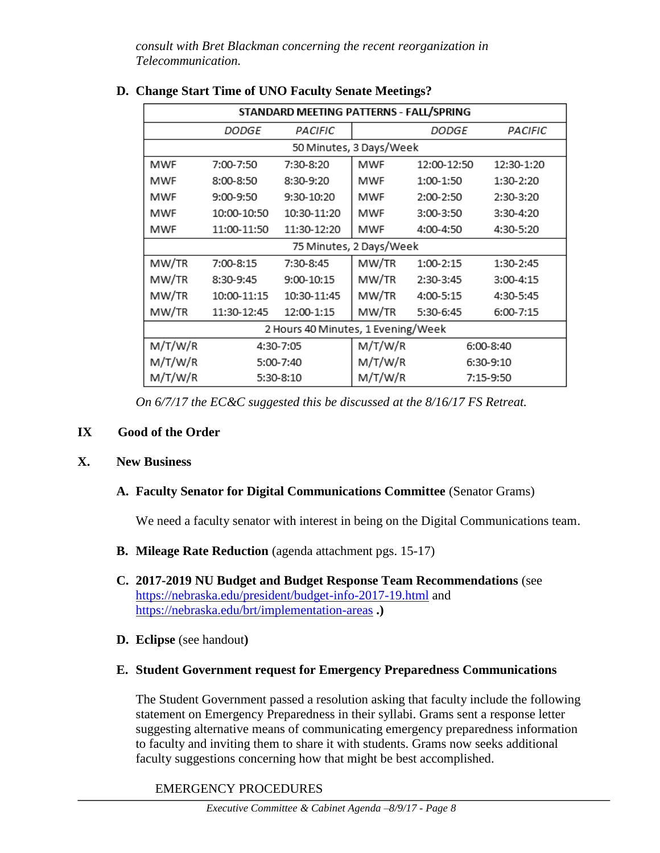*consult with Bret Blackman concerning the recent reorganization in Telecommunication.*

| STANDARD MEETING PATTERNS - FALL/SPRING |              |             |         |              |            |  |  |
|-----------------------------------------|--------------|-------------|---------|--------------|------------|--|--|
|                                         | <i>DODGE</i> | PACIFIC     |         | <i>DODGE</i> | PACIFIC    |  |  |
| 50 Minutes, 3 Days/Week                 |              |             |         |              |            |  |  |
| MWF                                     | 7:00-7:50    | 7:30-8:20   | MWF     | 12:00-12:50  | 12:30-1:20 |  |  |
| MWF                                     | 8:00-8:50    | 8:30-9:20   | MWF     | 1:00-1:50    | 1:30-2:20  |  |  |
| MWF                                     | 9:00-9:50    | 9:30-10:20  | MWF     | 2:00-2:50    | 2:30-3:20  |  |  |
| MWF                                     | 10:00-10:50  | 10:30-11:20 | MWF     | 3:00-3:50    | 3:30-4:20  |  |  |
| MWF                                     | 11:00-11:50  | 11:30-12:20 | MWF     | 4:00-4:50    | 4:30-5:20  |  |  |
| 75 Minutes, 2 Days/Week                 |              |             |         |              |            |  |  |
| MW/TR                                   | 7:00-8:15    | 7:30-8:45   | MW/TR   | 1:00-2:15    | 1:30-2:45  |  |  |
| MW/TR                                   | 8:30-9:45    | 9:00-10:15  | MW/TR   | 2:30-3:45    | 3:00-4:15  |  |  |
| MW/TR                                   | 10:00-11:15  | 10:30-11:45 | MW/TR   | 4:00-5:15    | 4:30-5:45  |  |  |
| MW/TR                                   | 11:30-12:45  | 12:00-1:15  | MW/TR   | 5:30-6:45    | 6:00-7:15  |  |  |
| 2 Hours 40 Minutes, 1 Evening/Week      |              |             |         |              |            |  |  |
| M/T/W/R                                 |              | 4:30-7:05   | M/T/W/R |              | 6:00-8:40  |  |  |
| M/T/W/R                                 |              | 5:00-7:40   | M/T/W/R |              | 6:30-9:10  |  |  |
| M/T/W/R                                 |              | 5:30-8:10   | M/T/W/R |              | 7:15-9:50  |  |  |

### **D. Change Start Time of UNO Faculty Senate Meetings?**

*On 6/7/17 the EC&C suggested this be discussed at the 8/16/17 FS Retreat.*

### **IX Good of the Order**

#### **X. New Business**

#### **A. Faculty Senator for Digital Communications Committee** (Senator Grams)

We need a faculty senator with interest in being on the Digital Communications team.

- **B. Mileage Rate Reduction** (agenda attachment pgs. 15-17)
- **C. 2017-2019 NU Budget and Budget Response Team Recommendations** (see <https://nebraska.edu/president/budget-info-2017-19.html> and <https://nebraska.edu/brt/implementation-areas> **.)**
- **D. Eclipse** (see handout**)**

#### **E. Student Government request for Emergency Preparedness Communications**

The Student Government passed a resolution asking that faculty include the following statement on Emergency Preparedness in their syllabi. Grams sent a response letter suggesting alternative means of communicating emergency preparedness information to faculty and inviting them to share it with students. Grams now seeks additional faculty suggestions concerning how that might be best accomplished.

EMERGENCY PROCEDURES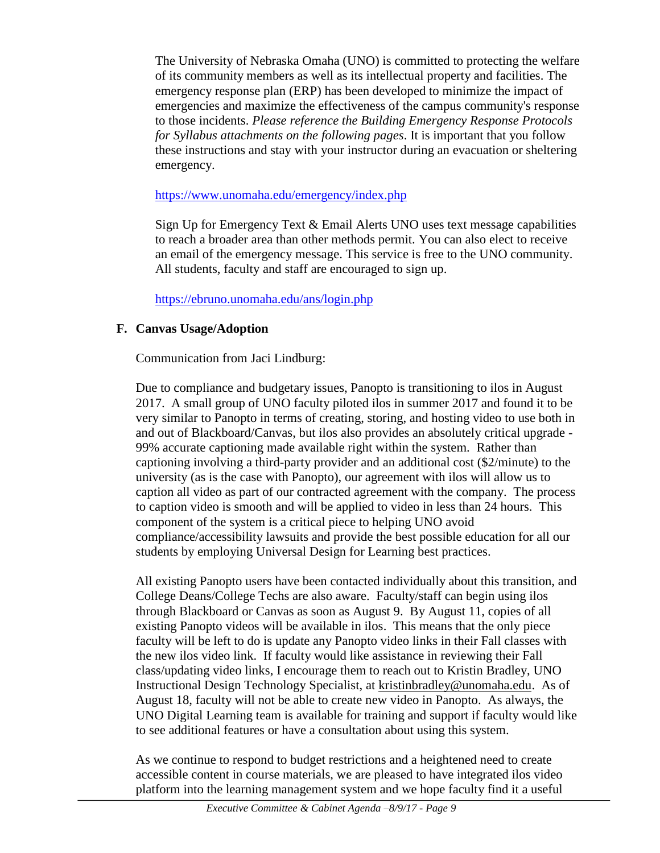The University of Nebraska Omaha (UNO) is committed to protecting the welfare of its community members as well as its intellectual property and facilities. The emergency response plan (ERP) has been developed to minimize the impact of emergencies and maximize the effectiveness of the campus community's response to those incidents. *Please reference the Building Emergency Response Protocols for Syllabus attachments on the following pages*. It is important that you follow these instructions and stay with your instructor during an evacuation or sheltering emergency.

#### <https://www.unomaha.edu/emergency/index.php>

Sign Up for Emergency Text & Email Alerts UNO uses text message capabilities to reach a broader area than other methods permit. You can also elect to receive an email of the emergency message. This service is free to the UNO community. All students, faculty and staff are encouraged to sign up.

<https://ebruno.unomaha.edu/ans/login.php>

### **F. Canvas Usage/Adoption**

Communication from Jaci Lindburg:

Due to compliance and budgetary issues, Panopto is transitioning to ilos in August 2017. A small group of UNO faculty piloted ilos in summer 2017 and found it to be very similar to Panopto in terms of creating, storing, and hosting video to use both in and out of Blackboard/Canvas, but ilos also provides an absolutely critical upgrade - 99% accurate captioning made available right within the system. Rather than captioning involving a third-party provider and an additional cost (\$2/minute) to the university (as is the case with Panopto), our agreement with ilos will allow us to caption all video as part of our contracted agreement with the company. The process to caption video is smooth and will be applied to video in less than 24 hours. This component of the system is a critical piece to helping UNO avoid compliance/accessibility lawsuits and provide the best possible education for all our students by employing Universal Design for Learning best practices.

All existing Panopto users have been contacted individually about this transition, and College Deans/College Techs are also aware. Faculty/staff can begin using ilos through Blackboard or Canvas as soon as August 9. By August 11, copies of all existing Panopto videos will be available in ilos. This means that the only piece faculty will be left to do is update any Panopto video links in their Fall classes with the new ilos video link. If faculty would like assistance in reviewing their Fall class/updating video links, I encourage them to reach out to Kristin Bradley, UNO Instructional Design Technology Specialist, at [kristinbradley@unomaha.edu.](mailto:kristinbradley@unomaha.edu) As of August 18, faculty will not be able to create new video in Panopto. As always, the UNO Digital Learning team is available for training and support if faculty would like to see additional features or have a consultation about using this system.

As we continue to respond to budget restrictions and a heightened need to create accessible content in course materials, we are pleased to have integrated ilos video platform into the learning management system and we hope faculty find it a useful